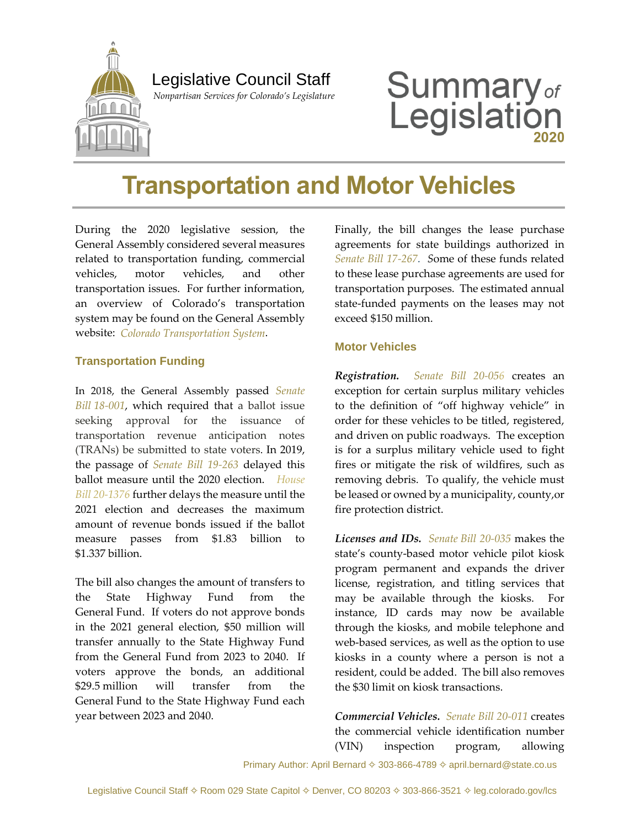

## Legislative Council Staff

 *Nonpartisan Services for Colorado's Legislature*

# **Summary**<sub>of</sub><br>Legislation

# **Transportation and Motor Vehicles**

During the 2020 legislative session, the General Assembly considered several measures related to transportation funding, commercial vehicles, motor vehicles, and other transportation issues. For further information, an overview of Colorado's transportation system may be found on the General Assembly website: *[Colorado Transportation System](https://leg.colorado.gov/publications/2019-colorados-transportation-system)*.

#### **Transportation Funding**

In 2018, the General Assembly passed *[Senate](https://leg.colorado.gov/bills/sb18-001)  Bill [18-001](https://leg.colorado.gov/bills/sb18-001)*, which required that a ballot issue seeking approval for the issuance of transportation revenue anticipation notes (TRANs) be submitted to state voters. In 2019, the passage of *[Senate Bill 19-263](https://leg.colorado.gov/bills/sb19-263)* delayed this ballot measure until the 2020 election. *[House](https://leg.colorado.gov/bills/hb20-1376)  [Bill 20-1376](https://leg.colorado.gov/bills/hb20-1376)* further delays the measure until the 2021 election and decreases the maximum amount of revenue bonds issued if the ballot measure passes from \$1.83 billion to \$1.337 billion.

The bill also changes the amount of transfers to the State Highway Fund from the General Fund. If voters do not approve bonds in the 2021 general election, \$50 million will transfer annually to the State Highway Fund from the General Fund from 2023 to 2040. If voters approve the bonds, an additional \$29.5 million will transfer from the General Fund to the State Highway Fund each year between 2023 and 2040.

Finally, the bill changes the lease purchase agreements for state buildings authorized in *[Senate Bill 17-267.](http://leg.colorado.gov/bills/sb17-267) S*ome of these funds related to these lease purchase agreements are used for transportation purposes. The estimated annual state-funded payments on the leases may not exceed \$150 million.

#### **Motor Vehicles**

*Registration. [Senate Bill 20-056](http://leg.colorado.gov/bills/sb20-056)* creates an exception for certain surplus military vehicles to the definition of "off highway vehicle" in order for these vehicles to be titled, registered, and driven on public roadways. The exception is for a surplus military vehicle used to fight fires or mitigate the risk of wildfires, such as removing debris. To qualify, the vehicle must be leased or owned by a municipality, county,or fire protection district.

*Licenses and IDs. Senate [Bill 20-035](http://leg.colorado.gov/bills/sb20-035)* makes the state's county-based motor vehicle pilot kiosk program permanent and expands the driver license, registration, and titling services that may be available through the kiosks. For instance, ID cards may now be available through the kiosks, and mobile telephone and web-based services, as well as the option to use kiosks in a county where a person is not a resident, could be added. The bill also removes the \$30 limit on kiosk transactions.

*Commercial Vehicles. [Senate Bill 20-011](http://leg.colorado.gov/bills/sb20-011)* creates the commercial vehicle identification number (VIN) inspection program, allowing

Primary Author: April Bernard  $\diamond$  303-866-4789  $\diamond$  april.bernard@state.co.us